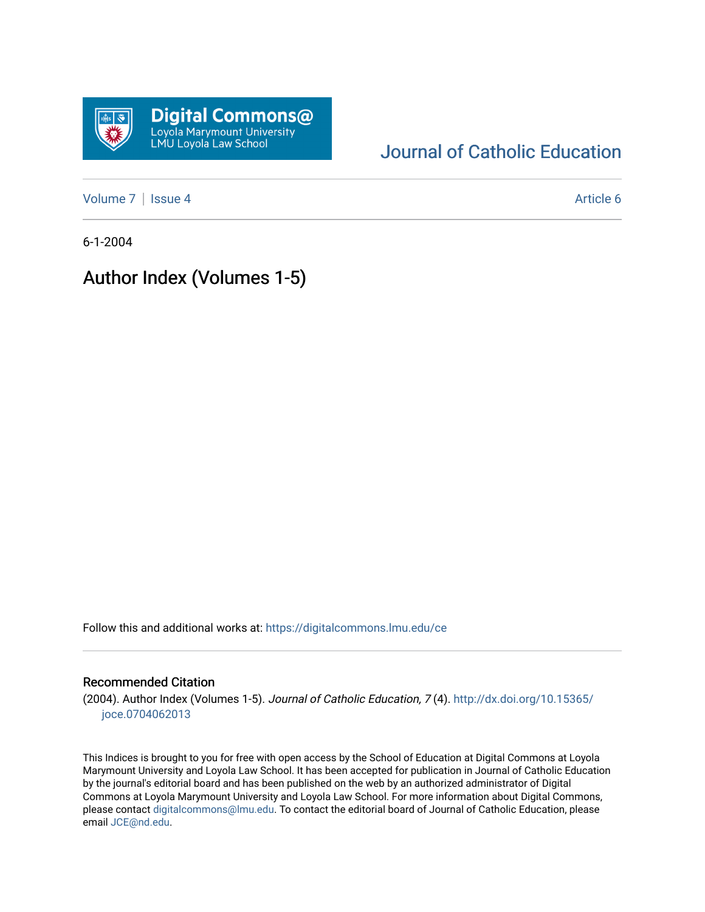

# [Journal of Catholic Education](https://digitalcommons.lmu.edu/ce)

[Volume 7](https://digitalcommons.lmu.edu/ce/vol7) | [Issue 4](https://digitalcommons.lmu.edu/ce/vol7/iss4) Article 6

6-1-2004

# Author Index (Volumes 1-5)

Follow this and additional works at: [https://digitalcommons.lmu.edu/ce](https://digitalcommons.lmu.edu/ce?utm_source=digitalcommons.lmu.edu%2Fce%2Fvol7%2Fiss4%2F6&utm_medium=PDF&utm_campaign=PDFCoverPages)

# Recommended Citation

(2004). Author Index (Volumes 1-5). Journal of Catholic Education, 7 (4). [http://dx.doi.org/10.15365/](http://dx.doi.org/10.15365/joce.0704062013) [joce.0704062013](http://dx.doi.org/10.15365/joce.0704062013) 

This Indices is brought to you for free with open access by the School of Education at Digital Commons at Loyola Marymount University and Loyola Law School. It has been accepted for publication in Journal of Catholic Education by the journal's editorial board and has been published on the web by an authorized administrator of Digital Commons at Loyola Marymount University and Loyola Law School. For more information about Digital Commons, please contact [digitalcommons@lmu.edu](mailto:digitalcommons@lmu.edu). To contact the editorial board of Journal of Catholic Education, please email [JCE@nd.edu](mailto:JCE@nd.edu).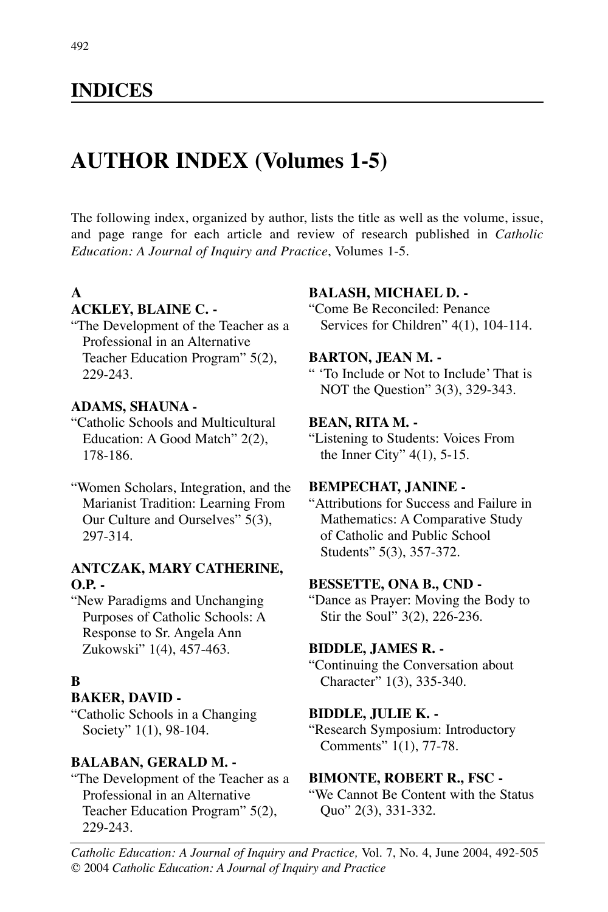# **INDICES**

# **AUTHOR INDEX (Volumes 1-5)**

The following index, organized by author, lists the title as well as the volume, issue, and page range for each article and review of research published in *Catholic Education: A Journal of Inquiry and Practice*, Volumes 1-5.

# **A**

### **ACKLEY, BLAINE C. -**

"The Development of the Teacher as a Professional in an Alternative Teacher Education Program" 5(2), 229-243.

#### **ADAMS, SHAUNA -**

"Catholic Schools and Multicultural Education: A Good Match" 2(2), 178-186.

"Women Scholars, Integration, and the Marianist Tradition: Learning From Our Culture and Ourselves" 5(3), 297-314.

### **ANTCZAK, MARY CATHERINE, O.P. -**

"New Paradigms and Unchanging Purposes of Catholic Schools: A Response to Sr. Angela Ann Zukowski" 1(4), 457-463.

### **B**

#### **BAKER, DAVID -**

"Catholic Schools in a Changing Society" 1(1), 98-104.

#### **BALABAN, GERALD M. -**

"The Development of the Teacher as a Professional in an Alternative Teacher Education Program" 5(2), 229-243.

#### **BALASH, MICHAEL D. -**

"Come Be Reconciled: Penance Services for Children" 4(1), 104-114.

#### **BARTON, JEAN M. -**

" 'To Include or Not to Include' That is NOT the Question" 3(3), 329-343.

#### **BEAN, RITA M. -**

"Listening to Students: Voices From the Inner City" 4(1), 5-15.

#### **BEMPECHAT, JANINE -**

"Attributions for Success and Failure in Mathematics: A Comparative Study of Catholic and Public School Students" 5(3), 357-372.

#### **BESSETTE, ONA B., CND -**

"Dance as Prayer: Moving the Body to Stir the Soul" 3(2), 226-236.

#### **BIDDLE, JAMES R. -**

"Continuing the Conversation about Character" 1(3), 335-340.

#### **BIDDLE, JULIE K. -**

"Research Symposium: Introductory Comments" 1(1), 77-78.

#### **BIMONTE, ROBERT R., FSC -**

"We Cannot Be Content with the Status Quo" 2(3), 331-332.

*Catholic Education: A Journal of Inquiry and Practice,* Vol. 7, No. 4, June 2004, 492-505 © 2004 *Catholic Education: A Journal of Inquiry and Practice*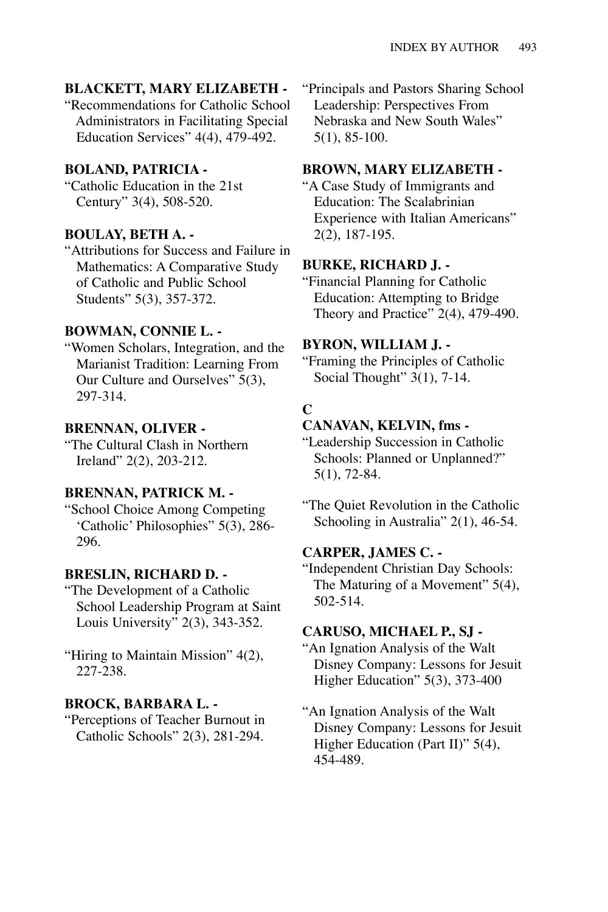#### **BLACKETT, MARY ELIZABETH -**

"Recommendations for Catholic School Administrators in Facilitating Special Education Services" 4(4), 479-492.

#### **BOLAND, PATRICIA -**

"Catholic Education in the 21st Century" 3(4), 508-520.

#### **BOULAY, BETH A. -**

"Attributions for Success and Failure in Mathematics: A Comparative Study of Catholic and Public School Students" 5(3), 357-372.

#### **BOWMAN, CONNIE L. -**

"Women Scholars, Integration, and the Marianist Tradition: Learning From Our Culture and Ourselves" 5(3), 297-314.

#### **BRENNAN, OLIVER -**

"The Cultural Clash in Northern Ireland" 2(2), 203-212.

#### **BRENNAN, PATRICK M. -**

"School Choice Among Competing 'Catholic' Philosophies" 5(3), 286- 296.

#### **BRESLIN, RICHARD D. -**

"The Development of a Catholic School Leadership Program at Saint Louis University"  $2(3)$ , 343-352.

"Hiring to Maintain Mission" 4(2), 227-238.

#### **BROCK, BARBARA L. -**

"Perceptions of Teacher Burnout in Catholic Schools" 2(3), 281-294.

"Principals and Pastors Sharing School Leadership: Perspectives From Nebraska and New South Wales" 5(1), 85-100.

# **BROWN, MARY ELIZABETH -**

"A Case Study of Immigrants and Education: The Scalabrinian Experience with Italian Americans" 2(2), 187-195.

#### **BURKE, RICHARD J. -**

"Financial Planning for Catholic Education: Attempting to Bridge Theory and Practice"  $2(4)$ , 479-490.

#### **BYRON, WILLIAM J. -**

"Framing the Principles of Catholic Social Thought" 3(1), 7-14.

#### **C**

#### **CANAVAN, KELVIN, fms -**

"Leadership Succession in Catholic Schools: Planned or Unplanned?" 5(1), 72-84.

"The Quiet Revolution in the Catholic Schooling in Australia" 2(1), 46-54.

#### **CARPER, JAMES C. -**

"Independent Christian Day Schools: The Maturing of a Movement" 5(4), 502-514.

#### **CARUSO, MICHAEL P., SJ -**

"An Ignation Analysis of the Walt Disney Company: Lessons for Jesuit Higher Education" 5(3), 373-400

### "An Ignation Analysis of the Walt Disney Company: Lessons for Jesuit Higher Education (Part II)" 5(4), 454-489.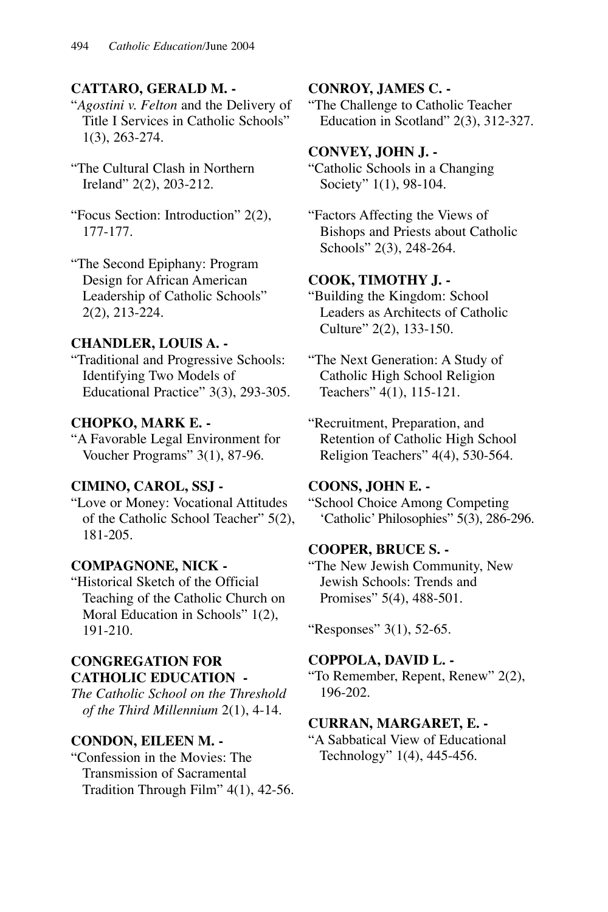### **CATTARO, GERALD M. -**

"*Agostini v. Felton* and the Delivery of Title I Services in Catholic Schools" 1(3), 263-274.

- "The Cultural Clash in Northern Ireland" 2(2), 203-212.
- "Focus Section: Introduction" 2(2), 177-177.

"The Second Epiphany: Program Design for African American Leadership of Catholic Schools" 2(2), 213-224.

### **CHANDLER, LOUIS A. -**

"Traditional and Progressive Schools: Identifying Two Models of Educational Practice" 3(3), 293-305.

### **CHOPKO, MARK E. -**

"A Favorable Legal Environment for Voucher Programs" 3(1), 87-96.

### **CIMINO, CAROL, SSJ -**

"Love or Money: Vocational Attitudes of the Catholic School Teacher" 5(2), 181-205.

### **COMPAGNONE, NICK -**

"Historical Sketch of the Official Teaching of the Catholic Church on Moral Education in Schools" 1(2), 191-210.

### **CONGREGATION FOR CATHOLIC EDUCATION -**

*The Catholic School on the Threshold of the Third Millennium* 2(1), 4-14.

### **CONDON, EILEEN M. -**

"Confession in the Movies: The Transmission of Sacramental Tradition Through Film" 4(1), 42-56.

### **CONROY, JAMES C. -**

"The Challenge to Catholic Teacher Education in Scotland" 2(3), 312-327.

#### **CONVEY, JOHN J. -**

"Catholic Schools in a Changing Society" 1(1), 98-104.

"Factors Affecting the Views of Bishops and Priests about Catholic Schools" 2(3), 248-264.

### **COOK, TIMOTHY J. -**

"Building the Kingdom: School Leaders as Architects of Catholic Culture" 2(2), 133-150.

"The Next Generation: A Study of Catholic High School Religion Teachers" 4(1), 115-121.

"Recruitment, Preparation, and Retention of Catholic High School Religion Teachers" 4(4), 530-564.

### **COONS, JOHN E. -**

"School Choice Among Competing 'Catholic' Philosophies" 5(3), 286-296.

#### **COOPER, BRUCE S. -**

"The New Jewish Community, New Jewish Schools: Trends and Promises" 5(4), 488-501.

"Responses" 3(1), 52-65.

### **COPPOLA, DAVID L. -**

"To Remember, Repent, Renew" 2(2), 196-202.

#### **CURRAN, MARGARET, E. -**

"A Sabbatical View of Educational Technology" 1(4), 445-456.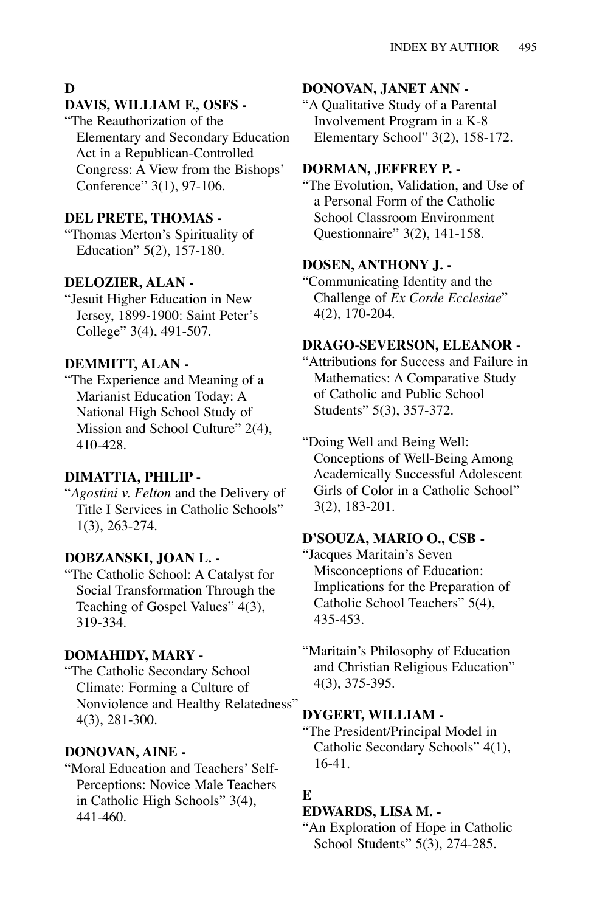### **D**

#### **DAVIS, WILLIAM F., OSFS -**

"The Reauthorization of the Elementary and Secondary Education Act in a Republican-Controlled Congress: A View from the Bishops' Conference" 3(1), 97-106.

#### **DEL PRETE, THOMAS -**

"Thomas Merton's Spirituality of Education" 5(2), 157-180.

#### **DELOZIER, ALAN -**

"Jesuit Higher Education in New Jersey, 1899-1900: Saint Peter's College" 3(4), 491-507.

### **DEMMITT, ALAN -**

"The Experience and Meaning of a Marianist Education Today: A National High School Study of Mission and School Culture" 2(4), 410-428.

#### **DIMATTIA, PHILIP -**

"*Agostini v. Felton* and the Delivery of Title I Services in Catholic Schools" 1(3), 263-274.

#### **DOBZANSKI, JOAN L. -**

"The Catholic School: A Catalyst for Social Transformation Through the Teaching of Gospel Values" 4(3), 319-334.

#### **DOMAHIDY, MARY -**

"The Catholic Secondary School Climate: Forming a Culture of Nonviolence and Healthy Relatedness" 4(3), 281-300.

#### **DONOVAN, AINE -**

"Moral Education and Teachers' Self-Perceptions: Novice Male Teachers in Catholic High Schools" 3(4), 441-460.

#### **DONOVAN, JANET ANN -**

"A Qualitative Study of a Parental Involvement Program in a K-8 Elementary School" 3(2), 158-172.

### **DORMAN, JEFFREY P. -**

"The Evolution, Validation, and Use of a Personal Form of the Catholic School Classroom Environment Questionnaire" 3(2), 141-158.

### **DOSEN, ANTHONY J. -**

"Communicating Identity and the Challenge of *Ex Corde Ecclesiae*" 4(2), 170-204.

### **DRAGO-SEVERSON, ELEANOR -**

"Attributions for Success and Failure in Mathematics: A Comparative Study of Catholic and Public School Students" 5(3), 357-372.

"Doing Well and Being Well: Conceptions of Well-Being Among Academically Successful Adolescent Girls of Color in a Catholic School" 3(2), 183-201.

#### **D'SOUZA, MARIO O., CSB -**

"Jacques Maritain's Seven Misconceptions of Education: Implications for the Preparation of Catholic School Teachers" 5(4), 435-453.

"Maritain's Philosophy of Education and Christian Religious Education" 4(3), 375-395.

#### **DYGERT, WILLIAM -**

"The President/Principal Model in Catholic Secondary Schools" 4(1), 16-41.

#### **E**

#### **EDWARDS, LISA M. -**

"An Exploration of Hope in Catholic School Students" 5(3), 274-285.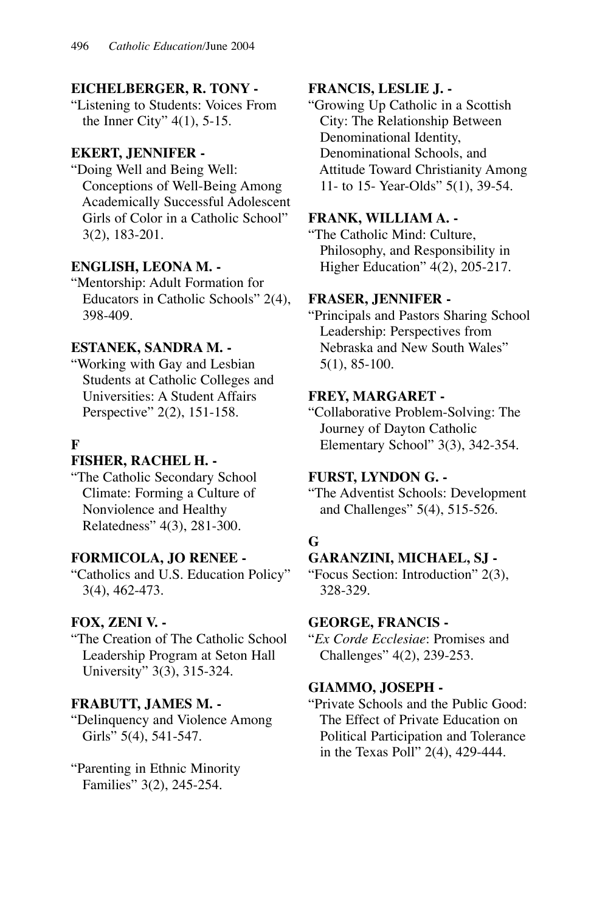## **EICHELBERGER, R. TONY -**

"Listening to Students: Voices From the Inner City" 4(1), 5-15.

# **EKERT, JENNIFER -**

"Doing Well and Being Well: Conceptions of Well-Being Among Academically Successful Adolescent Girls of Color in a Catholic School" 3(2), 183-201.

# **ENGLISH, LEONA M. -**

"Mentorship: Adult Formation for Educators in Catholic Schools" 2(4), 398-409.

### **ESTANEK, SANDRA M. -**

"Working with Gay and Lesbian Students at Catholic Colleges and Universities: A Student Affairs Perspective" 2(2), 151-158.

# **F**

# **FISHER, RACHEL H. -**

"The Catholic Secondary School Climate: Forming a Culture of Nonviolence and Healthy Relatedness" 4(3), 281-300.

### **FORMICOLA, JO RENEE -**

"Catholics and U.S. Education Policy" 3(4), 462-473.

# **FOX, ZENI V. -**

"The Creation of The Catholic School Leadership Program at Seton Hall University" 3(3), 315-324.

### **FRABUTT, JAMES M. -**

"Delinquency and Violence Among Girls" 5(4), 541-547.

"Parenting in Ethnic Minority Families" 3(2), 245-254.

# **FRANCIS, LESLIE J. -**

"Growing Up Catholic in a Scottish City: The Relationship Between Denominational Identity, Denominational Schools, and Attitude Toward Christianity Among 11- to 15- Year-Olds" 5(1), 39-54.

### **FRANK, WILLIAM A. -**

"The Catholic Mind: Culture, Philosophy, and Responsibility in Higher Education" 4(2), 205-217.

### **FRASER, JENNIFER -**

"Principals and Pastors Sharing School Leadership: Perspectives from Nebraska and New South Wales" 5(1), 85-100.

# **FREY, MARGARET -**

"Collaborative Problem-Solving: The Journey of Dayton Catholic Elementary School" 3(3), 342-354.

### **FURST, LYNDON G. -**

"The Adventist Schools: Development and Challenges" 5(4), 515-526.

# **G**

# **GARANZINI, MICHAEL, SJ -**

"Focus Section: Introduction" 2(3), 328-329.

### **GEORGE, FRANCIS -**

"*Ex Corde Ecclesiae*: Promises and Challenges" 4(2), 239-253.

### **GIAMMO, JOSEPH -**

"Private Schools and the Public Good: The Effect of Private Education on Political Participation and Tolerance in the Texas Poll" 2(4), 429-444.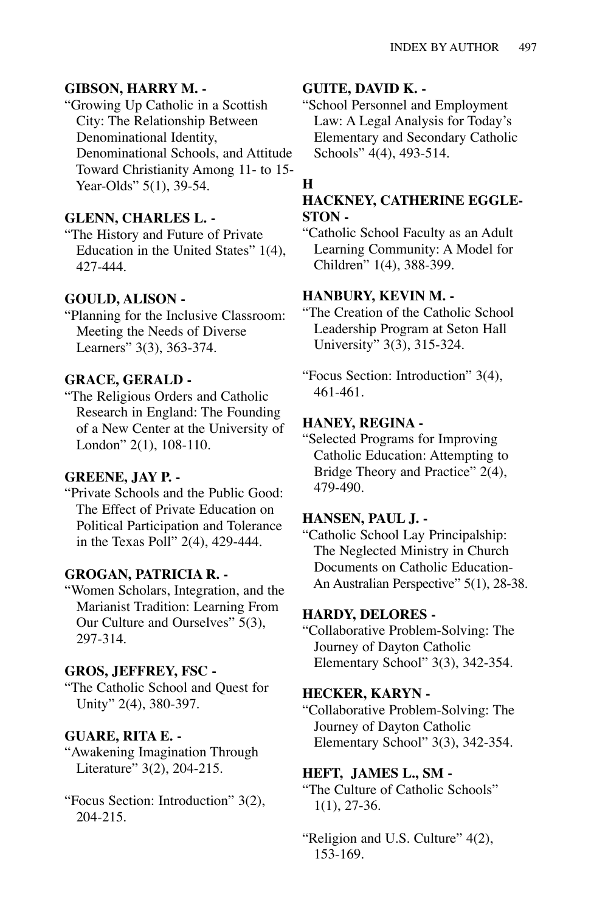### **GIBSON, HARRY M. -**

"Growing Up Catholic in a Scottish City: The Relationship Between Denominational Identity, Denominational Schools, and Attitude Toward Christianity Among 11- to 15- Year-Olds" 5(1), 39-54.

### **GLENN, CHARLES L. -**

"The History and Future of Private Education in the United States" 1(4), 427-444.

### **GOULD, ALISON -**

"Planning for the Inclusive Classroom: Meeting the Needs of Diverse Learners" 3(3), 363-374.

### **GRACE, GERALD -**

"The Religious Orders and Catholic Research in England: The Founding of a New Center at the University of London" 2(1), 108-110.

### **GREENE, JAY P. -**

"Private Schools and the Public Good: The Effect of Private Education on Political Participation and Tolerance in the Texas Poll" 2(4), 429-444.

### **GROGAN, PATRICIA R. -**

"Women Scholars, Integration, and the Marianist Tradition: Learning From Our Culture and Ourselves" 5(3), 297-314.

#### **GROS, JEFFREY, FSC -**

"The Catholic School and Quest for Unity" 2(4), 380-397.

### **GUARE, RITA E. -**

"Awakening Imagination Through Literature" 3(2), 204-215.

"Focus Section: Introduction" 3(2), 204-215.

### **GUITE, DAVID K. -**

"School Personnel and Employment Law: A Legal Analysis for Today's Elementary and Secondary Catholic Schools" 4(4), 493-514.

### **H**

# **HACKNEY, CATHERINE EGGLE-STON -**

"Catholic School Faculty as an Adult Learning Community: A Model for Children" 1(4), 388-399.

### **HANBURY, KEVIN M. -**

"The Creation of the Catholic School Leadership Program at Seton Hall University" 3(3), 315-324.

"Focus Section: Introduction" 3(4), 461-461.

#### **HANEY, REGINA -**

"Selected Programs for Improving Catholic Education: Attempting to Bridge Theory and Practice" 2(4), 479-490.

#### **HANSEN, PAUL J. -**

"Catholic School Lay Principalship: The Neglected Ministry in Church Documents on Catholic Education-An Australian Perspective" 5(1), 28-38.

#### **HARDY, DELORES -**

"Collaborative Problem-Solving: The Journey of Dayton Catholic Elementary School" 3(3), 342-354.

#### **HECKER, KARYN -**

"Collaborative Problem-Solving: The Journey of Dayton Catholic Elementary School" 3(3), 342-354.

### **HEFT, JAMES L., SM -**

"The Culture of Catholic Schools" 1(1), 27-36.

"Religion and U.S. Culture" 4(2), 153-169.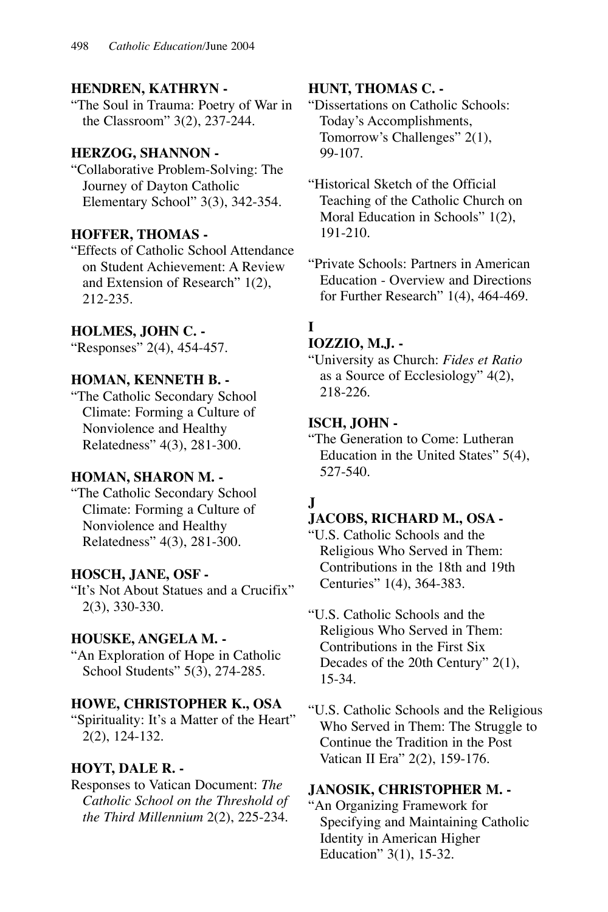### **HENDREN, KATHRYN -**

"The Soul in Trauma: Poetry of War in the Classroom" 3(2), 237-244.

### **HERZOG, SHANNON -**

"Collaborative Problem-Solving: The Journey of Dayton Catholic Elementary School" 3(3), 342-354.

### **HOFFER, THOMAS -**

"Effects of Catholic School Attendance on Student Achievement: A Review and Extension of Research" 1(2), 212-235.

### **HOLMES, JOHN C. -**

"Responses" 2(4), 454-457.

# **HOMAN, KENNETH B. -**

"The Catholic Secondary School Climate: Forming a Culture of Nonviolence and Healthy Relatedness" 4(3), 281-300.

### **HOMAN, SHARON M. -**

"The Catholic Secondary School Climate: Forming a Culture of Nonviolence and Healthy Relatedness" 4(3), 281-300.

### **HOSCH, JANE, OSF -**

"It's Not About Statues and a Crucifix" 2(3), 330-330.

### **HOUSKE, ANGELA M. -**

"An Exploration of Hope in Catholic School Students" 5(3), 274-285.

# **HOWE, CHRISTOPHER K., OSA**

"Spirituality: It's a Matter of the Heart" 2(2), 124-132.

# **HOYT, DALE R. -**

Responses to Vatican Document: *The Catholic School on the Threshold of the Third Millennium* 2(2), 225-234.

### **HUNT, THOMAS C. -**

"Dissertations on Catholic Schools: Today's Accomplishments, Tomorrow's Challenges" 2(1), 99-107.

"Historical Sketch of the Official Teaching of the Catholic Church on Moral Education in Schools" 1(2), 191-210.

"Private Schools: Partners in American Education - Overview and Directions for Further Research" 1(4), 464-469.

# **I**

#### **IOZZIO, M.J. -**

"University as Church: *Fides et Ratio* as a Source of Ecclesiology" 4(2), 218-226.

### **ISCH, JOHN -**

"The Generation to Come: Lutheran Education in the United States" 5(4), 527-540.

# **J**

### **JACOBS, RICHARD M., OSA -**

"U.S. Catholic Schools and the Religious Who Served in Them: Contributions in the 18th and 19th Centuries" 1(4), 364-383.

"U.S. Catholic Schools and the Religious Who Served in Them: Contributions in the First Six Decades of the 20th Century" 2(1), 15-34.

"U.S. Catholic Schools and the Religious Who Served in Them: The Struggle to Continue the Tradition in the Post Vatican II Era" 2(2), 159-176.

### **JANOSIK, CHRISTOPHER M. -**

"An Organizing Framework for Specifying and Maintaining Catholic Identity in American Higher Education" 3(1), 15-32.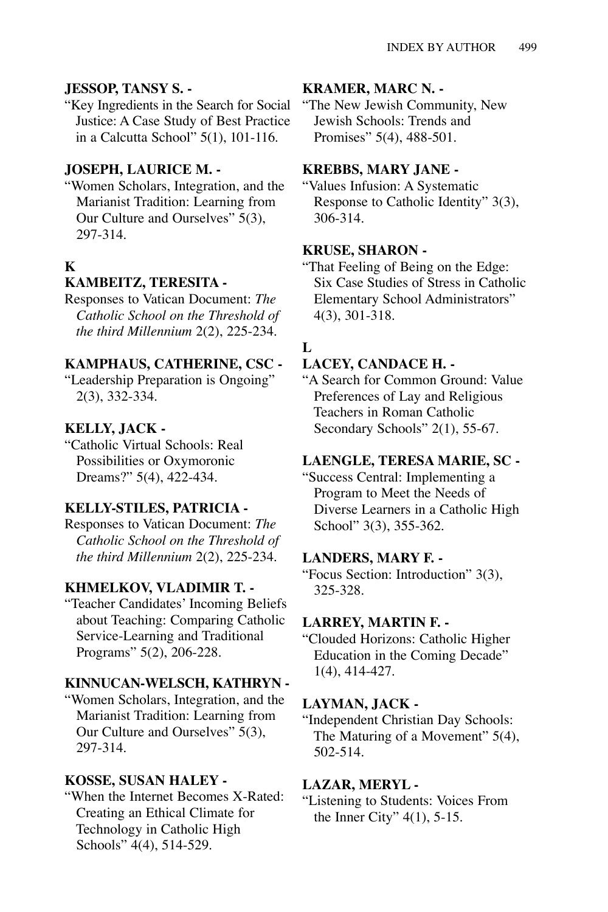#### **JESSOP, TANSY S. -**

"Key Ingredients in the Search for Social Justice: A Case Study of Best Practice in a Calcutta School" 5(1), 101-116.

### **JOSEPH, LAURICE M. -**

"Women Scholars, Integration, and the Marianist Tradition: Learning from Our Culture and Ourselves" 5(3), 297-314.

# **K**

#### **KAMBEITZ, TERESITA -**

Responses to Vatican Document: *The Catholic School on the Threshold of the third Millennium* 2(2), 225-234.

#### **KAMPHAUS, CATHERINE, CSC -**

"Leadership Preparation is Ongoing" 2(3), 332-334.

#### **KELLY, JACK -**

"Catholic Virtual Schools: Real Possibilities or Oxymoronic Dreams?" 5(4), 422-434.

#### **KELLY-STILES, PATRICIA -**

Responses to Vatican Document: *The Catholic School on the Threshold of the third Millennium* 2(2), 225-234.

#### **KHMELKOV, VLADIMIR T. -**

"Teacher Candidates' Incoming Beliefs about Teaching: Comparing Catholic Service-Learning and Traditional Programs" 5(2), 206-228.

#### **KINNUCAN-WELSCH, KATHRYN -**

"Women Scholars, Integration, and the Marianist Tradition: Learning from Our Culture and Ourselves" 5(3), 297-314.

#### **KOSSE, SUSAN HALEY -**

"When the Internet Becomes X-Rated: Creating an Ethical Climate for Technology in Catholic High Schools" 4(4), 514-529.

#### **KRAMER, MARC N. -**

"The New Jewish Community, New Jewish Schools: Trends and Promises" 5(4), 488-501.

#### **KREBBS, MARY JANE -**

"Values Infusion: A Systematic Response to Catholic Identity" 3(3), 306-314.

#### **KRUSE, SHARON -**

"That Feeling of Being on the Edge: Six Case Studies of Stress in Catholic Elementary School Administrators" 4(3), 301-318.

### **L**

# **LACEY, CANDACE H. -**

"A Search for Common Ground: Value Preferences of Lay and Religious Teachers in Roman Catholic Secondary Schools" 2(1), 55-67.

#### **LAENGLE, TERESA MARIE, SC -**

"Success Central: Implementing a Program to Meet the Needs of Diverse Learners in a Catholic High School" 3(3), 355-362.

#### **LANDERS, MARY F. -**

"Focus Section: Introduction" 3(3), 325-328.

#### **LARREY, MARTIN F. -**

"Clouded Horizons: Catholic Higher Education in the Coming Decade" 1(4), 414-427.

#### **LAYMAN, JACK -**

"Independent Christian Day Schools: The Maturing of a Movement" 5(4), 502-514.

#### **LAZAR, MERYL -**

"Listening to Students: Voices From the Inner City" 4(1), 5-15.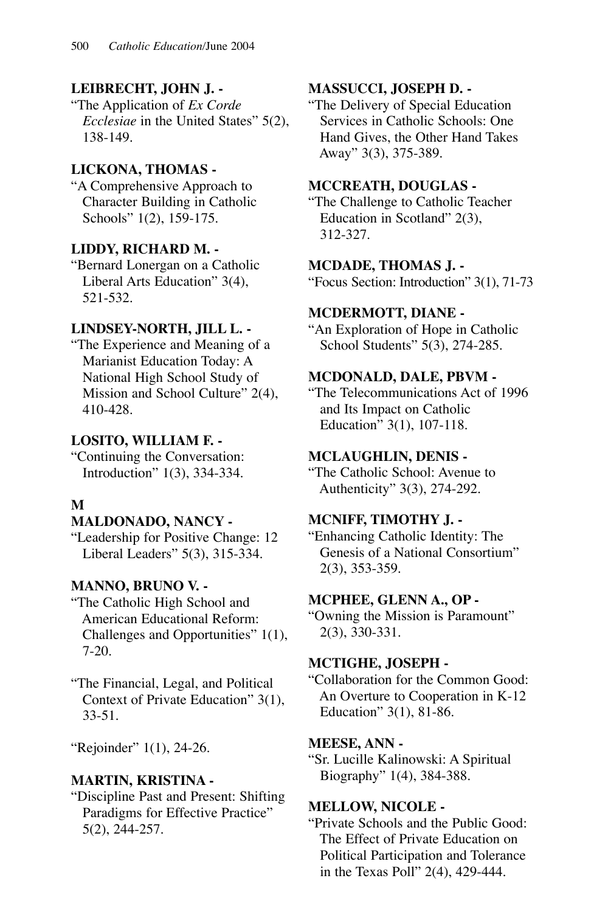# **LEIBRECHT, JOHN J. -**

"The Application of *Ex Corde Ecclesiae* in the United States" 5(2), 138-149.

# **LICKONA, THOMAS -**

"A Comprehensive Approach to Character Building in Catholic Schools" 1(2), 159-175.

# **LIDDY, RICHARD M. -**

"Bernard Lonergan on a Catholic Liberal Arts Education" 3(4), 521-532.

# **LINDSEY-NORTH, JILL L. -**

"The Experience and Meaning of a Marianist Education Today: A National High School Study of Mission and School Culture" 2(4), 410-428.

# **LOSITO, WILLIAM F. -**

"Continuing the Conversation: Introduction" 1(3), 334-334.

# **M**

# **MALDONADO, NANCY -**

"Leadership for Positive Change: 12 Liberal Leaders" 5(3), 315-334.

# **MANNO, BRUNO V. -**

"The Catholic High School and American Educational Reform: Challenges and Opportunities" 1(1), 7-20.

"The Financial, Legal, and Political Context of Private Education" 3(1), 33-51.

"Rejoinder" 1(1), 24-26.

# **MARTIN, KRISTINA -**

"Discipline Past and Present: Shifting Paradigms for Effective Practice" 5(2), 244-257.

# **MASSUCCI, JOSEPH D. -**

"The Delivery of Special Education Services in Catholic Schools: One Hand Gives, the Other Hand Takes Away" 3(3), 375-389.

# **MCCREATH, DOUGLAS -**

"The Challenge to Catholic Teacher Education in Scotland" 2(3), 312-327.

### **MCDADE, THOMAS J. -**

"Focus Section: Introduction" 3(1), 71-73

### **MCDERMOTT, DIANE -**

"An Exploration of Hope in Catholic School Students" 5(3), 274-285.

### **MCDONALD, DALE, PBVM -**

"The Telecommunications Act of 1996 and Its Impact on Catholic Education" 3(1), 107-118.

### **MCLAUGHLIN, DENIS -**

"The Catholic School: Avenue to Authenticity" 3(3), 274-292.

### **MCNIFF, TIMOTHY J. -**

"Enhancing Catholic Identity: The Genesis of a National Consortium" 2(3), 353-359.

### **MCPHEE, GLENN A., OP -**

"Owning the Mission is Paramount" 2(3), 330-331.

### **MCTIGHE, JOSEPH -**

"Collaboration for the Common Good: An Overture to Cooperation in K-12 Education" 3(1), 81-86.

### **MEESE, ANN -**

"Sr. Lucille Kalinowski: A Spiritual Biography" 1(4), 384-388.

### **MELLOW, NICOLE -**

"Private Schools and the Public Good: The Effect of Private Education on Political Participation and Tolerance in the Texas Poll" 2(4), 429-444.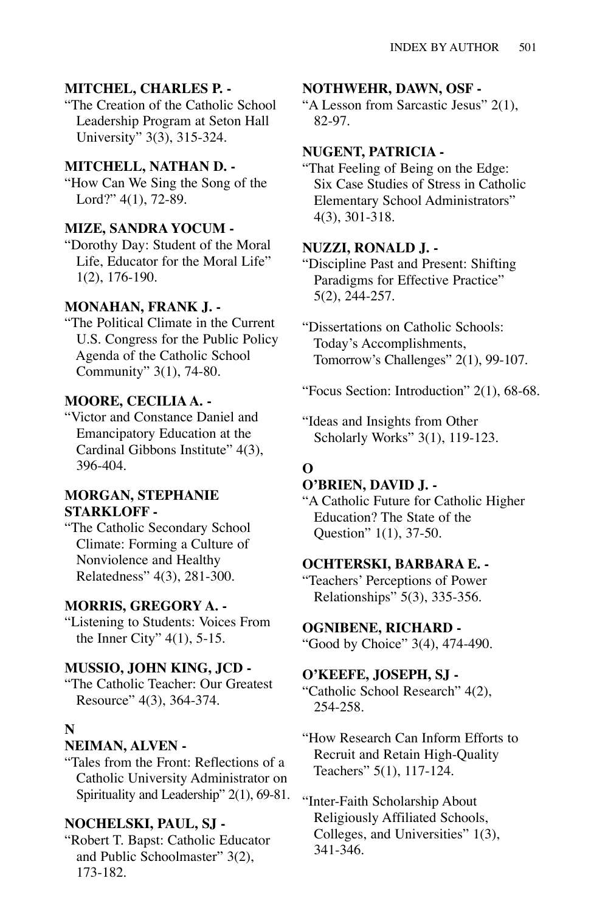### **MITCHEL, CHARLES P. -**

"The Creation of the Catholic School Leadership Program at Seton Hall University" 3(3), 315-324.

### **MITCHELL, NATHAN D. -**

"How Can We Sing the Song of the Lord?" 4(1), 72-89.

### **MIZE, SANDRA YOCUM -**

"Dorothy Day: Student of the Moral Life, Educator for the Moral Life" 1(2), 176-190.

#### **MONAHAN, FRANK J. -**

"The Political Climate in the Current U.S. Congress for the Public Policy Agenda of the Catholic School Community" 3(1), 74-80.

### **MOORE, CECILIA A. -**

"Victor and Constance Daniel and Emancipatory Education at the Cardinal Gibbons Institute" 4(3), 396-404.

#### **MORGAN, STEPHANIE STARKLOFF -**

"The Catholic Secondary School Climate: Forming a Culture of Nonviolence and Healthy Relatedness" 4(3), 281-300.

#### **MORRIS, GREGORY A. -**

"Listening to Students: Voices From the Inner City" 4(1), 5-15.

### **MUSSIO, JOHN KING, JCD -**

"The Catholic Teacher: Our Greatest Resource" 4(3), 364-374.

#### **N**

#### **NEIMAN, ALVEN -**

"Tales from the Front: Reflections of a Catholic University Administrator on Spirituality and Leadership" 2(1), 69-81.

#### **NOCHELSKI, PAUL, SJ -**

"Robert T. Bapst: Catholic Educator and Public Schoolmaster" 3(2), 173-182.

#### **NOTHWEHR, DAWN, OSF -**

"A Lesson from Sarcastic Jesus" 2(1), 82-97.

#### **NUGENT, PATRICIA -**

"That Feeling of Being on the Edge: Six Case Studies of Stress in Catholic Elementary School Administrators" 4(3), 301-318.

### **NUZZI, RONALD J. -**

"Discipline Past and Present: Shifting Paradigms for Effective Practice" 5(2), 244-257.

"Dissertations on Catholic Schools: Today's Accomplishments, Tomorrow's Challenges" 2(1), 99-107.

"Focus Section: Introduction" 2(1), 68-68.

"Ideas and Insights from Other Scholarly Works" 3(1), 119-123.

### **O**

#### **O'BRIEN, DAVID J. -**

"A Catholic Future for Catholic Higher Education? The State of the Question" 1(1), 37-50.

#### **OCHTERSKI, BARBARA E. -**

"Teachers' Perceptions of Power Relationships" 5(3), 335-356.

#### **OGNIBENE, RICHARD -**

"Good by Choice" 3(4), 474-490.

#### **O'KEEFE, JOSEPH, SJ -**

"Catholic School Research" 4(2), 254-258.

"How Research Can Inform Efforts to Recruit and Retain High-Quality Teachers" 5(1), 117-124.

"Inter-Faith Scholarship About Religiously Affiliated Schools, Colleges, and Universities" 1(3), 341-346.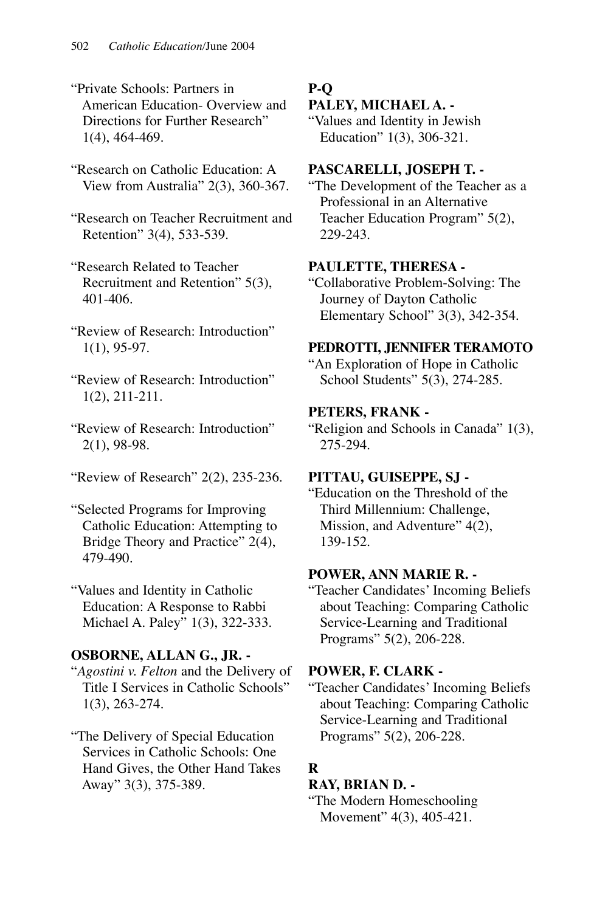- "Private Schools: Partners in American Education- Overview and Directions for Further Research" 1(4), 464-469.
- "Research on Catholic Education: A View from Australia" 2(3), 360-367.
- "Research on Teacher Recruitment and Retention" 3(4), 533-539.
- "Research Related to Teacher Recruitment and Retention" 5(3), 401-406.
- "Review of Research: Introduction" 1(1), 95-97.
- "Review of Research: Introduction" 1(2), 211-211.
- "Review of Research: Introduction" 2(1), 98-98.
- "Review of Research" 2(2), 235-236.
- "Selected Programs for Improving Catholic Education: Attempting to Bridge Theory and Practice" 2(4), 479-490.

"Values and Identity in Catholic Education: A Response to Rabbi Michael A. Paley" 1(3), 322-333.

### **OSBORNE, ALLAN G., JR. -**

- "*Agostini v. Felton* and the Delivery of Title I Services in Catholic Schools" 1(3), 263-274.
- "The Delivery of Special Education Services in Catholic Schools: One Hand Gives, the Other Hand Takes Away" 3(3), 375-389.

# **P-Q**

### **PALEY, MICHAEL A. -**

"Values and Identity in Jewish Education" 1(3), 306-321.

### **PASCARELLI, JOSEPH T. -**

"The Development of the Teacher as a Professional in an Alternative Teacher Education Program" 5(2), 229-243.

### **PAULETTE, THERESA -**

"Collaborative Problem-Solving: The Journey of Dayton Catholic Elementary School" 3(3), 342-354.

### **PEDROTTI, JENNIFER TERAMOTO**

"An Exploration of Hope in Catholic School Students" 5(3), 274-285.

### **PETERS, FRANK -**

"Religion and Schools in Canada" 1(3), 275-294.

### **PITTAU, GUISEPPE, SJ -**

"Education on the Threshold of the Third Millennium: Challenge, Mission, and Adventure" 4(2), 139-152.

### **POWER, ANN MARIE R. -**

"Teacher Candidates' Incoming Beliefs about Teaching: Comparing Catholic Service-Learning and Traditional Programs" 5(2), 206-228.

### **POWER, F. CLARK -**

"Teacher Candidates' Incoming Beliefs about Teaching: Comparing Catholic Service-Learning and Traditional Programs" 5(2), 206-228.

# **R**

### **RAY, BRIAN D. -**

"The Modern Homeschooling Movement" 4(3), 405-421.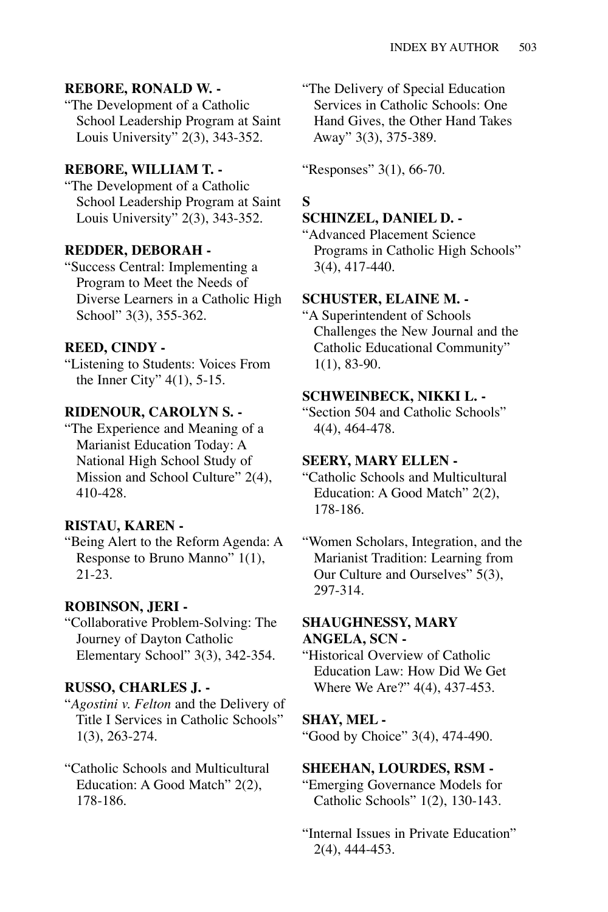### **REBORE, RONALD W. -**

"The Development of a Catholic School Leadership Program at Saint Louis University" 2(3), 343-352.

### **REBORE, WILLIAM T. -**

"The Development of a Catholic School Leadership Program at Saint Louis University" 2(3), 343-352.

#### **REDDER, DEBORAH -**

"Success Central: Implementing a Program to Meet the Needs of Diverse Learners in a Catholic High School" 3(3), 355-362.

#### **REED, CINDY -**

"Listening to Students: Voices From the Inner City" 4(1), 5-15.

# **RIDENOUR, CAROLYN S. -**

"The Experience and Meaning of a Marianist Education Today: A National High School Study of Mission and School Culture" 2(4), 410-428.

#### **RISTAU, KAREN -**

"Being Alert to the Reform Agenda: A Response to Bruno Manno" 1(1), 21-23.

#### **ROBINSON, JERI -**

"Collaborative Problem-Solving: The Journey of Dayton Catholic Elementary School" 3(3), 342-354.

### **RUSSO, CHARLES J. -**

"*Agostini v. Felton* and the Delivery of Title I Services in Catholic Schools" 1(3), 263-274.

### "Catholic Schools and Multicultural Education: A Good Match" 2(2), 178-186.

"The Delivery of Special Education Services in Catholic Schools: One Hand Gives, the Other Hand Takes Away" 3(3), 375-389.

"Responses" 3(1), 66-70.

#### **S**

#### **SCHINZEL, DANIEL D. -**

"Advanced Placement Science Programs in Catholic High Schools" 3(4), 417-440.

#### **SCHUSTER, ELAINE M. -**

"A Superintendent of Schools Challenges the New Journal and the Catholic Educational Community" 1(1), 83-90.

#### **SCHWEINBECK, NIKKI L. -**

"Section 504 and Catholic Schools" 4(4), 464-478.

#### **SEERY, MARY ELLEN -**

"Catholic Schools and Multicultural Education: A Good Match" 2(2), 178-186.

"Women Scholars, Integration, and the Marianist Tradition: Learning from Our Culture and Ourselves" 5(3), 297-314.

#### **SHAUGHNESSY, MARY ANGELA, SCN -**

"Historical Overview of Catholic Education Law: How Did We Get Where We Are?" 4(4), 437-453.

#### **SHAY, MEL -**

"Good by Choice" 3(4), 474-490.

#### **SHEEHAN, LOURDES, RSM -**

"Emerging Governance Models for Catholic Schools" 1(2), 130-143.

"Internal Issues in Private Education" 2(4), 444-453.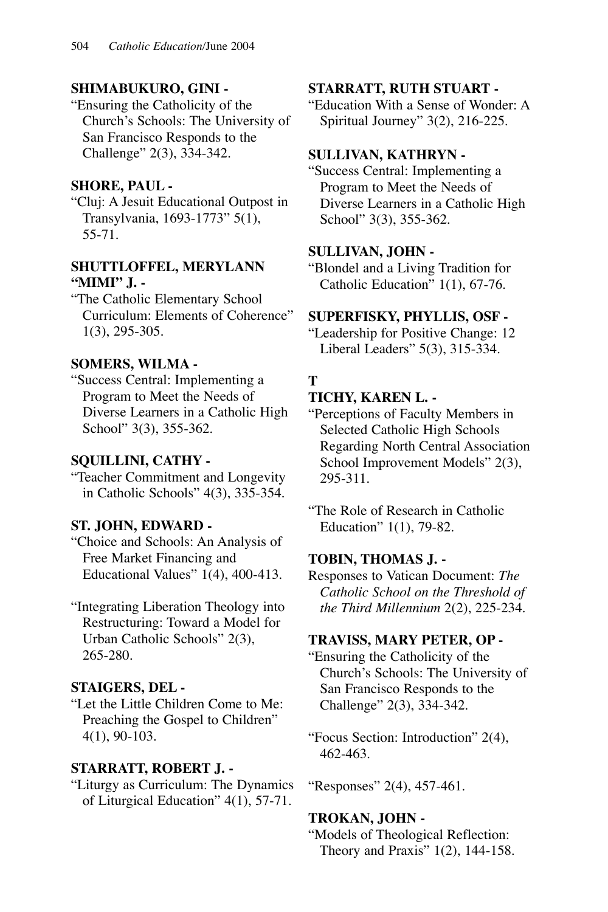# **SHIMABUKURO, GINI -**

"Ensuring the Catholicity of the Church's Schools: The University of San Francisco Responds to the Challenge" 2(3), 334-342.

## **SHORE, PAUL -**

"Cluj: A Jesuit Educational Outpost in Transylvania, 1693-1773" 5(1), 55-71.

### **SHUTTLOFFEL, MERYLANN "MIMI" J. -**

"The Catholic Elementary School Curriculum: Elements of Coherence" 1(3), 295-305.

### **SOMERS, WILMA -**

"Success Central: Implementing a Program to Meet the Needs of Diverse Learners in a Catholic High School" 3(3), 355-362.

### **SQUILLINI, CATHY -**

"Teacher Commitment and Longevity in Catholic Schools" 4(3), 335-354.

### **ST. JOHN, EDWARD -**

"Choice and Schools: An Analysis of Free Market Financing and Educational Values" 1(4), 400-413.

"Integrating Liberation Theology into Restructuring: Toward a Model for Urban Catholic Schools" 2(3), 265-280.

### **STAIGERS, DEL -**

"Let the Little Children Come to Me: Preaching the Gospel to Children" 4(1), 90-103.

### **STARRATT, ROBERT J. -**

"Liturgy as Curriculum: The Dynamics of Liturgical Education" 4(1), 57-71.

#### **STARRATT, RUTH STUART -**

"Education With a Sense of Wonder: A Spiritual Journey" 3(2), 216-225.

### **SULLIVAN, KATHRYN -**

"Success Central: Implementing a Program to Meet the Needs of Diverse Learners in a Catholic High School" 3(3), 355-362.

### **SULLIVAN, JOHN -**

"Blondel and a Living Tradition for Catholic Education" 1(1), 67-76.

### **SUPERFISKY, PHYLLIS, OSF -**

"Leadership for Positive Change: 12 Liberal Leaders" 5(3), 315-334.

# **T**

### **TICHY, KAREN L. -**

"Perceptions of Faculty Members in Selected Catholic High Schools Regarding North Central Association School Improvement Models" 2(3), 295-311.

"The Role of Research in Catholic Education" 1(1), 79-82.

### **TOBIN, THOMAS J. -**

Responses to Vatican Document: *The Catholic School on the Threshold of the Third Millennium* 2(2), 225-234.

### **TRAVISS, MARY PETER, OP -**

"Ensuring the Catholicity of the Church's Schools: The University of San Francisco Responds to the Challenge" 2(3), 334-342.

"Focus Section: Introduction" 2(4), 462-463.

"Responses" 2(4), 457-461.

### **TROKAN, JOHN -**

"Models of Theological Reflection: Theory and Praxis" 1(2), 144-158.